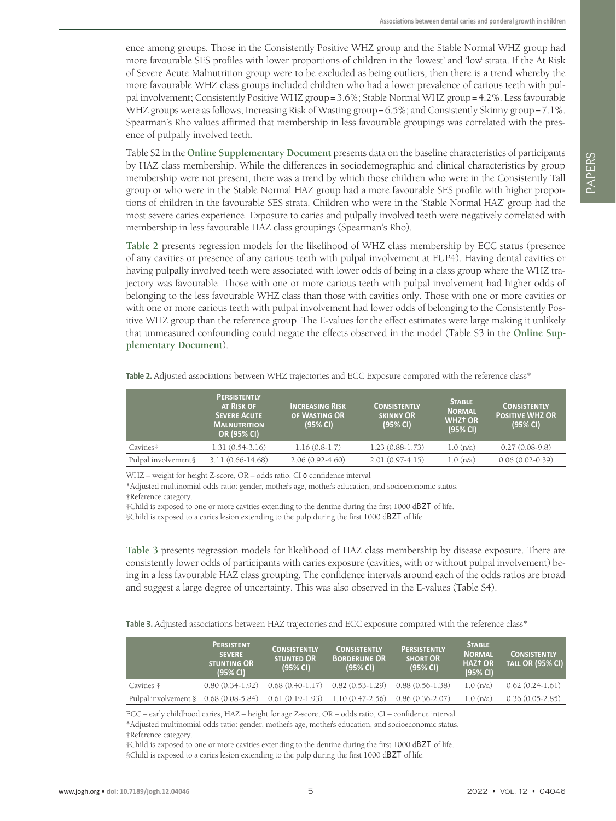ence among groups. Those in the Consistently Positive WHZ group and the Stable Normal WHZ group had more favourable SES profiles with lower proportions of children in the 'lowest' and 'low' strata. If the At Risk of Severe Acute Malnutrition group were to be excluded as being outliers, then there is a trend whereby the more favourable WHZ class groups included children who had a lower prevalence of carious teeth with pulpal involvement; Consistently Positive WHZ group=3.6%; Stable Normal WHZ group=4.2%. Less favourable WHZ groups were as follows; Increasing Risk of Wasting group=6.5%; and Consistently Skinny group=7.1%. Spearman's Rho values affirmed that membership in less favourable groupings was correlated with the presence of pulpally involved teeth.

Table S2 in the **[Online Supplementary Document](#page-6-0)** presents data on the baseline characteristics of participants by HAZ class membership. While the differences in sociodemographic and clinical characteristics by group membership were not present, there was a trend by which those children who were in the Consistently Tall group or who were in the Stable Normal HAZ group had a more favourable SES profile with higher proportions of children in the favourable SES strata. Children who were in the 'Stable Normal HAZ' group had the most severe caries experience. Exposure to caries and pulpally involved teeth were negatively correlated with membership in less favourable HAZ class groupings (Spearman's Rho).

**[Table 2](#page-4-0)** presents regression models for the likelihood of WHZ class membership by ECC status (presence of any cavities or presence of any carious teeth with pulpal involvement at FUP4). Having dental cavities or having pulpally involved teeth were associated with lower odds of being in a class group where the WHZ trajectory was favourable. Those with one or more carious teeth with pulpal involvement had higher odds of belonging to the less favourable WHZ class than those with cavities only. Those with one or more cavities or with one or more carious teeth with pulpal involvement had lower odds of belonging to the Consistently Positive WHZ group than the reference group. The E-values for the effect estimates were large making it unlikely that unmeasured confounding could negate the effects observed in the model (Table S3 in the **[Online Sup](#page-6-0)[plementary Document](#page-6-0)**).

|                     | <b>PERSISTENTLY</b><br>AT RISK OF<br><b>SEVERE ACUTE</b><br><b>MALNUTRITION</b><br><b>OR (95% CI)</b> | <b>INCREASING RISK</b><br>OF WASTING OR<br>(95% CI) | <b>CONSISTENTLY</b><br><b>SKINNY OR</b><br>(95% CI) | <b>STABLE</b><br><b>NORMAL</b><br><b>WHZT OR</b><br>(95% CI) | <b>CONSISTENTLY</b><br><b>POSITIVE WHZ OR</b><br>(95% CI) |
|---------------------|-------------------------------------------------------------------------------------------------------|-----------------------------------------------------|-----------------------------------------------------|--------------------------------------------------------------|-----------------------------------------------------------|
| Cavities#           | $1.31(0.54-3.16)$                                                                                     | $1.16(0.8-1.7)$                                     | $1.23(0.88-1.73)$                                   | 1.0(n/a)                                                     | $0.27(0.08-9.8)$                                          |
| Pulpal involvement§ | $3.11(0.66 - 14.68)$                                                                                  | $2.06(0.92 - 4.60)$                                 | $2.01(0.97-4.15)$                                   | 1.0(n/a)                                                     | $0.06(0.02-0.39)$                                         |

<span id="page-4-0"></span>**Table 2.** Adjusted associations between WHZ trajectories and ECC Exposure compared with the reference class\*

WHZ – weight for height Z-score, OR – odds ratio, CI o confidence interval

\*Adjusted multinomial odds ratio: gender, mother's age, mother's education, and socioeconomic status. †Reference category.

‡Child is exposed to one or more cavities extending to the dentine during the first 1000 dBZT of life. §Child is exposed to a caries lesion extending to the pulp during the first 1000 dBZT of life.

**[Table 3](#page-4-1)** presents regression models for likelihood of HAZ class membership by disease exposure. There are consistently lower odds of participants with caries exposure (cavities, with or without pulpal involvement) being in a less favourable HAZ class grouping. The confidence intervals around each of the odds ratios are broad and suggest a large degree of uncertainty. This was also observed in the E-values (Table S4).

<span id="page-4-1"></span>**Table 3.** Adjusted associations between HAZ trajectories and ECC exposure compared with the reference class\*

|                                          | <b>PERSISTENT</b><br><b>SEVERE</b><br>STUNTING OR<br>(95% CI) | <b>CONSISTENTLY</b><br><b>STUNTED OR</b><br>(95% CI) | <b>CONSISTENTLY</b><br><b>BORDERLINE OR</b><br>(95% CI) | <b>PERSISTENTLY</b><br><b>SHORT OR</b><br>(95% CI) | <b>STABLE</b><br><b>NORMAL</b><br>HAZT OR<br>(95% CI) | <b>CONSISTENTLY</b><br><b>TALL OR (95% CI)</b> |
|------------------------------------------|---------------------------------------------------------------|------------------------------------------------------|---------------------------------------------------------|----------------------------------------------------|-------------------------------------------------------|------------------------------------------------|
| Cavities #                               | $0.80(0.34-1.92)$                                             | $0.68(0.40-1.17)$                                    | $0.82(0.53-1.29)$                                       | $0.88(0.56-1.38)$                                  | 1.0(n/a)                                              | $0.62(0.24-1.61)$                              |
| Pulpal involvement $\S$ 0.68 (0.08-5.84) |                                                               |                                                      | $0.61(0.19-1.93)$ $1.10(0.47-2.56)$                     | $0.86(0.36-2.07)$                                  | 1.0(n/a)                                              | $0.36(0.05-2.85)$                              |

ECC – early childhood caries, HAZ – height for age Z-score, OR – odds ratio, CI – confidence interval \*Adjusted multinomial odds ratio: gender, mother's age, mother's education, and socioeconomic status. †Reference category.

‡Child is exposed to one or more cavities extending to the dentine during the first 1000 dBZT of life. §Child is exposed to a caries lesion extending to the pulp during the first 1000 dBZT of life.

PAPERS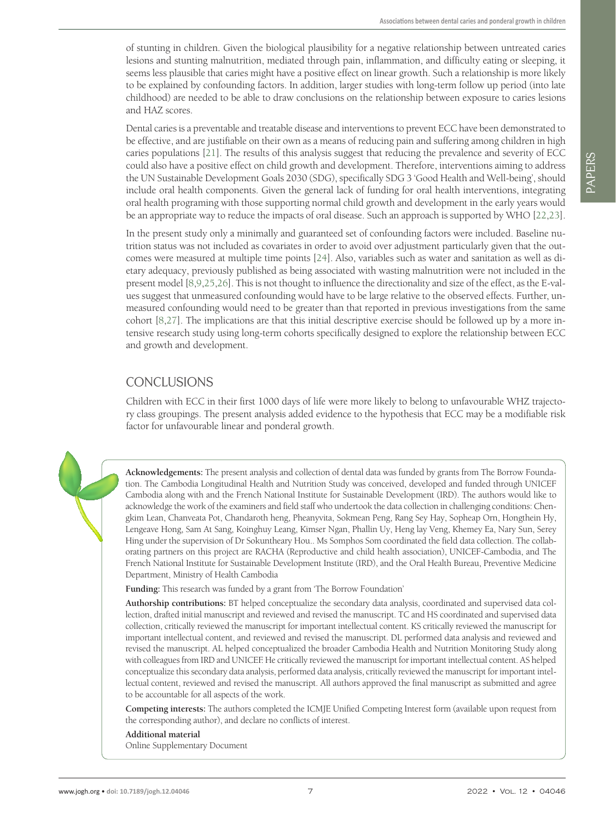of stunting in children. Given the biological plausibility for a negative relationship between untreated caries lesions and stunting malnutrition, mediated through pain, inflammation, and difficulty eating or sleeping, it seems less plausible that caries might have a positive effect on linear growth. Such a relationship is more likely to be explained by confounding factors. In addition, larger studies with long-term follow up period (into late childhood) are needed to be able to draw conclusions on the relationship between exposure to caries lesions and HAZ scores.

Dental caries is a preventable and treatable disease and interventions to prevent ECC have been demonstrated to be effective, and are justifiable on their own as a means of reducing pain and suffering among children in high caries populations [[21](#page-7-0)]. The results of this analysis suggest that reducing the prevalence and severity of ECC could also have a positive effect on child growth and development. Therefore, interventions aiming to address the UN Sustainable Development Goals 2030 (SDG), specifically SDG 3 'Good Health and Well-being', should include oral health components. Given the general lack of funding for oral health interventions, integrating oral health programing with those supporting normal child growth and development in the early years would be an appropriate way to reduce the impacts of oral disease. Such an approach is supported by WHO [\[22,](#page-7-1)[23](#page-7-2)].

In the present study only a minimally and guaranteed set of confounding factors were included. Baseline nutrition status was not included as covariates in order to avoid over adjustment particularly given that the outcomes were measured at multiple time points [\[24](#page-7-3)]. Also, variables such as water and sanitation as well as dietary adequacy, previously published as being associated with wasting malnutrition were not included in the present model [\[8](#page-7-4)[,9](#page-7-5),[25,](#page-7-6)[26](#page-7-7)]. This is not thought to influence the directionality and size of the effect, as the E-values suggest that unmeasured confounding would have to be large relative to the observed effects. Further, unmeasured confounding would need to be greater than that reported in previous investigations from the same cohort [\[8,](#page-7-4)[27](#page-7-8)]. The implications are that this initial descriptive exercise should be followed up by a more intensive research study using long-term cohorts specifically designed to explore the relationship between ECC and growth and development.

## CONCLUSIONS

Children with ECC in their first 1000 days of life were more likely to belong to unfavourable WHZ trajectory class groupings. The present analysis added evidence to the hypothesis that ECC may be a modifiable risk factor for unfavourable linear and ponderal growth.

**Acknowledgements:** The present analysis and collection of dental data was funded by grants from The Borrow Foundation. The Cambodia Longitudinal Health and Nutrition Study was conceived, developed and funded through UNICEF Cambodia along with and the French National Institute for Sustainable Development (IRD). The authors would like to acknowledge the work of the examiners and field staff who undertook the data collection in challenging conditions: Chengkim Lean, Chanveata Pot, Chandaroth heng, Pheanyvita, Sokmean Peng, Rang Sey Hay, Sopheap Orn, Hongthein Hy, Lengeave Hong, Sam At Sang, Koinghuy Leang, Kimser Ngan, Phallin Uy, Heng lay Veng, Khemey Ea, Nary Sun, Serey Hing under the supervision of Dr Sokuntheary Hou.. Ms Somphos Som coordinated the field data collection. The collaborating partners on this project are RACHA (Reproductive and child health association), UNICEF-Cambodia, and The French National Institute for Sustainable Development Institute (IRD), and the Oral Health Bureau, Preventive Medicine Department, Ministry of Health Cambodia

**Funding:** This research was funded by a grant from 'The Borrow Foundation'

**Authorship contributions:** BT helped conceptualize the secondary data analysis, coordinated and supervised data collection, drafted initial manuscript and reviewed and revised the manuscript. TC and HS coordinated and supervised data collection, critically reviewed the manuscript for important intellectual content. KS critically reviewed the manuscript for important intellectual content, and reviewed and revised the manuscript. DL performed data analysis and reviewed and revised the manuscript. AL helped conceptualized the broader Cambodia Health and Nutrition Monitoring Study along with colleagues from IRD and UNICEF. He critically reviewed the manuscript for important intellectual content. AS helped conceptualize this secondary data analysis, performed data analysis, critically reviewed the manuscript for important intellectual content, reviewed and revised the manuscript. All authors approved the final manuscript as submitted and agree to be accountable for all aspects of the work.

**Competing interests:** The authors completed the ICMJE Unified Competing Interest form (available upon request from the corresponding author), and declare no conflicts of interest.

## **Additional material**

<span id="page-6-0"></span>[Online Supplementary Document](https://jogh.org/documents/2022/jogh-12-04046-s001.pdf)